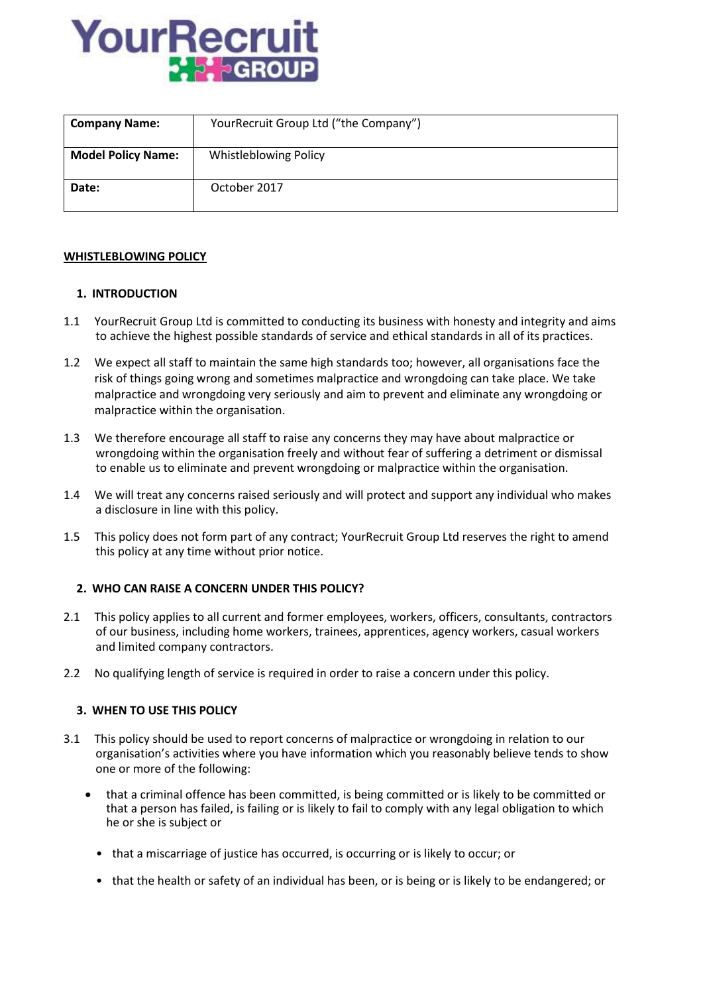

| <b>Company Name:</b>      | YourRecruit Group Ltd ("the Company") |
|---------------------------|---------------------------------------|
| <b>Model Policy Name:</b> | Whistleblowing Policy                 |
| Date:                     | October 2017                          |

## **WHISTLEBLOWING POLICY**

## **1. INTRODUCTION**

- 1.1 YourRecruit Group Ltd is committed to conducting its business with honesty and integrity and aims to achieve the highest possible standards of service and ethical standards in all of its practices.
- 1.2 We expect all staff to maintain the same high standards too; however, all organisations face the risk of things going wrong and sometimes malpractice and wrongdoing can take place. We take malpractice and wrongdoing very seriously and aim to prevent and eliminate any wrongdoing or malpractice within the organisation.
- 1.3 We therefore encourage all staff to raise any concerns they may have about malpractice or wrongdoing within the organisation freely and without fear of suffering a detriment or dismissal to enable us to eliminate and prevent wrongdoing or malpractice within the organisation.
- 1.4 We will treat any concerns raised seriously and will protect and support any individual who makes a disclosure in line with this policy.
- 1.5 This policy does not form part of any contract; YourRecruit Group Ltd reserves the right to amend this policy at any time without prior notice.

## **2. WHO CAN RAISE A CONCERN UNDER THIS POLICY?**

- 2.1 This policy applies to all current and former employees, workers, officers, consultants, contractors of our business, including home workers, trainees, apprentices, agency workers, casual workers and limited company contractors.
- 2.2 No qualifying length of service is required in order to raise a concern under this policy.

## **3. WHEN TO USE THIS POLICY**

- 3.1 This policy should be used to report concerns of malpractice or wrongdoing in relation to our organisation's activities where you have information which you reasonably believe tends to show one or more of the following:
	- that a criminal offence has been committed, is being committed or is likely to be committed or that a person has failed, is failing or is likely to fail to comply with any legal obligation to which he or she is subject or
		- that a miscarriage of justice has occurred, is occurring or is likely to occur; or
		- that the health or safety of an individual has been, or is being or is likely to be endangered; or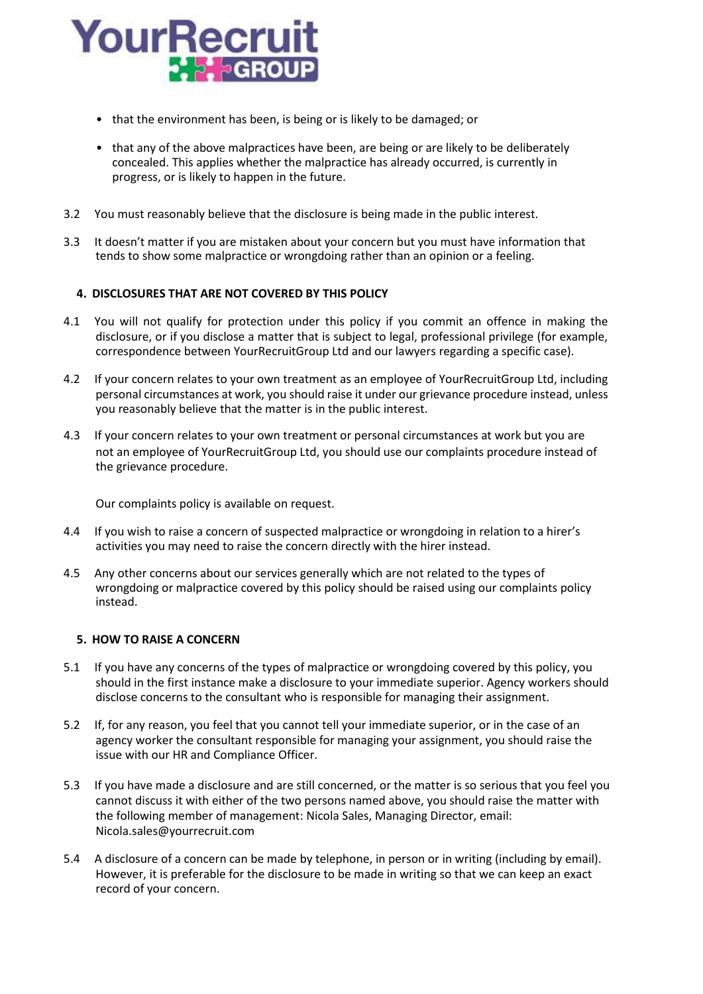

- that the environment has been, is being or is likely to be damaged; or
- that any of the above malpractices have been, are being or are likely to be deliberately concealed. This applies whether the malpractice has already occurred, is currently in progress, or is likely to happen in the future.
- 3.2 You must reasonably believe that the disclosure is being made in the public interest.
- 3.3 It doesn't matter if you are mistaken about your concern but you must have information that tends to show some malpractice or wrongdoing rather than an opinion or a feeling.

# **4. DISCLOSURES THAT ARE NOT COVERED BY THIS POLICY**

- 4.1 You will not qualify for protection under this policy if you commit an offence in making the disclosure, or if you disclose a matter that is subject to legal, professional privilege (for example, correspondence between YourRecruitGroup Ltd and our lawyers regarding a specific case).
- 4.2 If your concern relates to your own treatment as an employee of YourRecruitGroup Ltd, including personal circumstances at work, you should raise it under our grievance procedure instead, unless you reasonably believe that the matter is in the public interest.
- 4.3 If your concern relates to your own treatment or personal circumstances at work but you are not an employee of YourRecruitGroup Ltd, you should use our complaints procedure instead of the grievance procedure.

Our complaints policy is available on request.

- 4.4 If you wish to raise a concern of suspected malpractice or wrongdoing in relation to a hirer's activities you may need to raise the concern directly with the hirer instead.
- 4.5 Any other concerns about our services generally which are not related to the types of wrongdoing or malpractice covered by this policy should be raised using our complaints policy instead.

## **5. HOW TO RAISE A CONCERN**

- 5.1 If you have any concerns of the types of malpractice or wrongdoing covered by this policy, you should in the first instance make a disclosure to your immediate superior. Agency workers should disclose concerns to the consultant who is responsible for managing their assignment.
- 5.2 If, for any reason, you feel that you cannot tell your immediate superior, or in the case of an agency worker the consultant responsible for managing your assignment, you should raise the issue with our HR and Compliance Officer.
- 5.3 If you have made a disclosure and are still concerned, or the matter is so serious that you feel you cannot discuss it with either of the two persons named above, you should raise the matter with the following member of management: Nicola Sales, Managing Director, email: Nicola.sales@yourrecruit.com
- 5.4 A disclosure of a concern can be made by telephone, in person or in writing (including by email). However, it is preferable for the disclosure to be made in writing so that we can keep an exact record of your concern.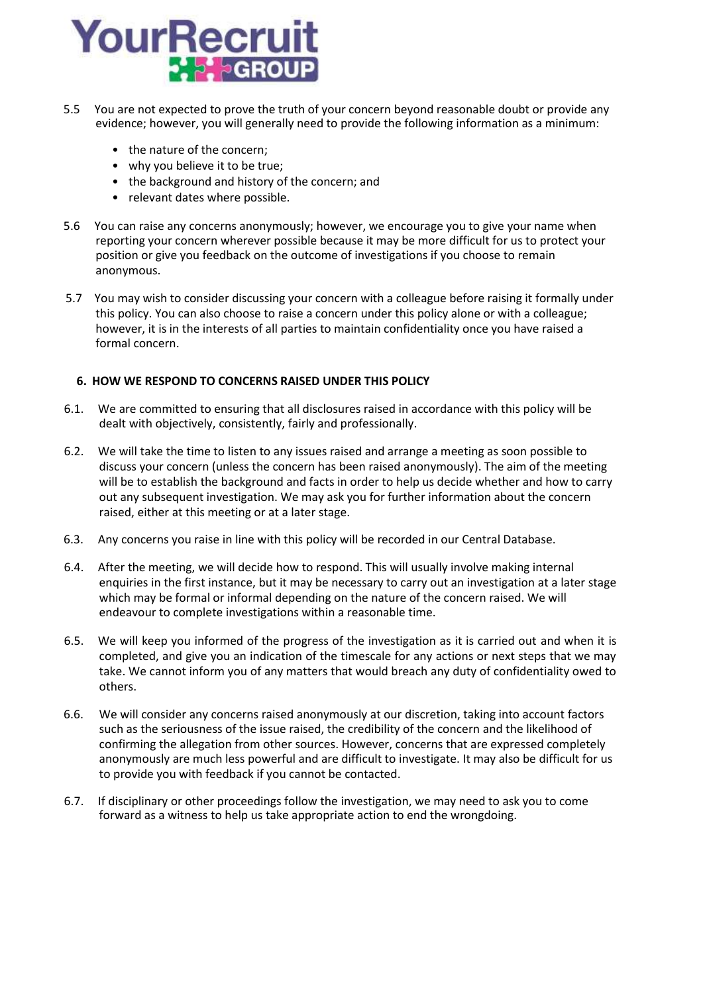

- 5.5 You are not expected to prove the truth of your concern beyond reasonable doubt or provide any evidence; however, you will generally need to provide the following information as a minimum:
	- the nature of the concern;
	- why you believe it to be true;
	- the background and history of the concern; and
	- relevant dates where possible.
- 5.6 You can raise any concerns anonymously; however, we encourage you to give your name when reporting your concern wherever possible because it may be more difficult for us to protect your position or give you feedback on the outcome of investigations if you choose to remain anonymous.
- 5.7 You may wish to consider discussing your concern with a colleague before raising it formally under this policy. You can also choose to raise a concern under this policy alone or with a colleague; however, it is in the interests of all parties to maintain confidentiality once you have raised a formal concern.

# **6. HOW WE RESPOND TO CONCERNS RAISED UNDER THIS POLICY**

- 6.1. We are committed to ensuring that all disclosures raised in accordance with this policy will be dealt with objectively, consistently, fairly and professionally.
- 6.2. We will take the time to listen to any issues raised and arrange a meeting as soon possible to discuss your concern (unless the concern has been raised anonymously). The aim of the meeting will be to establish the background and facts in order to help us decide whether and how to carry out any subsequent investigation. We may ask you for further information about the concern raised, either at this meeting or at a later stage.
- 6.3. Any concerns you raise in line with this policy will be recorded in our Central Database.
- 6.4. After the meeting, we will decide how to respond. This will usually involve making internal enquiries in the first instance, but it may be necessary to carry out an investigation at a later stage which may be formal or informal depending on the nature of the concern raised. We will endeavour to complete investigations within a reasonable time.
- 6.5. We will keep you informed of the progress of the investigation as it is carried out and when it is completed, and give you an indication of the timescale for any actions or next steps that we may take. We cannot inform you of any matters that would breach any duty of confidentiality owed to others.
- 6.6. We will consider any concerns raised anonymously at our discretion, taking into account factors such as the seriousness of the issue raised, the credibility of the concern and the likelihood of confirming the allegation from other sources. However, concerns that are expressed completely anonymously are much less powerful and are difficult to investigate. It may also be difficult for us to provide you with feedback if you cannot be contacted.
- 6.7. If disciplinary or other proceedings follow the investigation, we may need to ask you to come forward as a witness to help us take appropriate action to end the wrongdoing.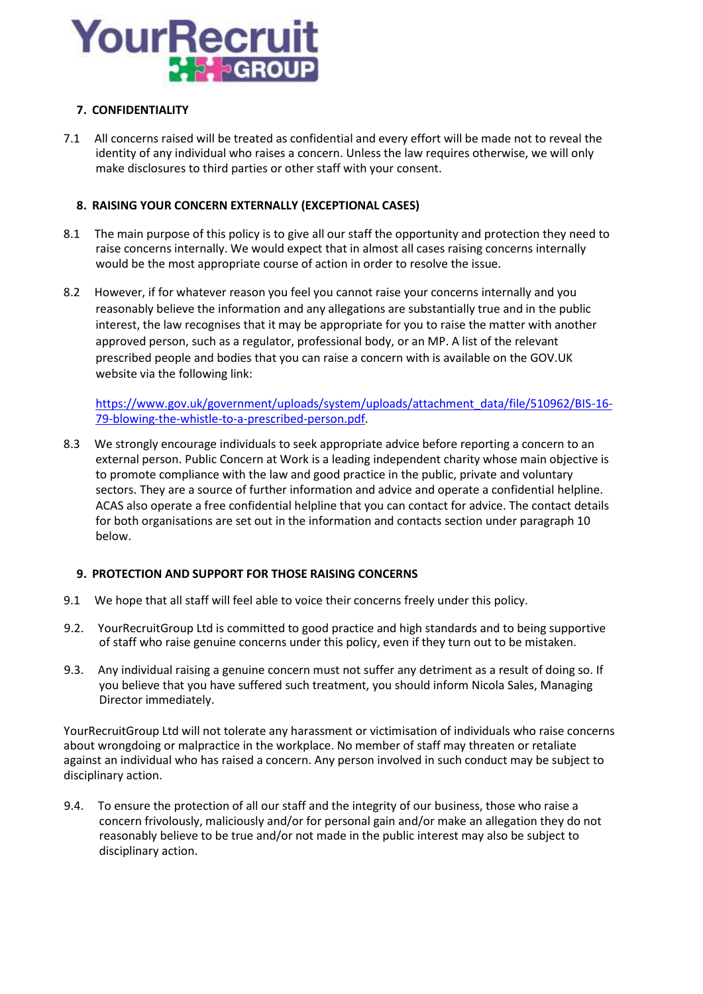

# **7. CONFIDENTIALITY**

7.1 All concerns raised will be treated as confidential and every effort will be made not to reveal the identity of any individual who raises a concern. Unless the law requires otherwise, we will only make disclosures to third parties or other staff with your consent.

# **8. RAISING YOUR CONCERN EXTERNALLY (EXCEPTIONAL CASES)**

- 8.1 The main purpose of this policy is to give all our staff the opportunity and protection they need to raise concerns internally. We would expect that in almost all cases raising concerns internally would be the most appropriate course of action in order to resolve the issue.
- 8.2 However, if for whatever reason you feel you cannot raise your concerns internally and you reasonably believe the information and any allegations are substantially true and in the public interest, the law recognises that it may be appropriate for you to raise the matter with another approved person, such as a regulator, professional body, or an MP. A list of the relevant prescribed people and bodies that you can raise a concern with is available on the GOV.UK website via the following link:

https://www.gov.uk/government/uploads/system/uploads/attachment\_data/file/510962/BIS-16- 79-blowing-the-whistle-to-a-prescribed-person.pdf.

8.3 We strongly encourage individuals to seek appropriate advice before reporting a concern to an external person. Public Concern at Work is a leading independent charity whose main objective is to promote compliance with the law and good practice in the public, private and voluntary sectors. They are a source of further information and advice and operate a confidential helpline. ACAS also operate a free confidential helpline that you can contact for advice. The contact details for both organisations are set out in the information and contacts section under paragraph 10 below.

## **9. PROTECTION AND SUPPORT FOR THOSE RAISING CONCERNS**

- 9.1 We hope that all staff will feel able to voice their concerns freely under this policy.
- 9.2. YourRecruitGroup Ltd is committed to good practice and high standards and to being supportive of staff who raise genuine concerns under this policy, even if they turn out to be mistaken.
- 9.3. Any individual raising a genuine concern must not suffer any detriment as a result of doing so. If you believe that you have suffered such treatment, you should inform Nicola Sales, Managing Director immediately.

YourRecruitGroup Ltd will not tolerate any harassment or victimisation of individuals who raise concerns about wrongdoing or malpractice in the workplace. No member of staff may threaten or retaliate against an individual who has raised a concern. Any person involved in such conduct may be subject to disciplinary action.

9.4. To ensure the protection of all our staff and the integrity of our business, those who raise a concern frivolously, maliciously and/or for personal gain and/or make an allegation they do not reasonably believe to be true and/or not made in the public interest may also be subject to disciplinary action.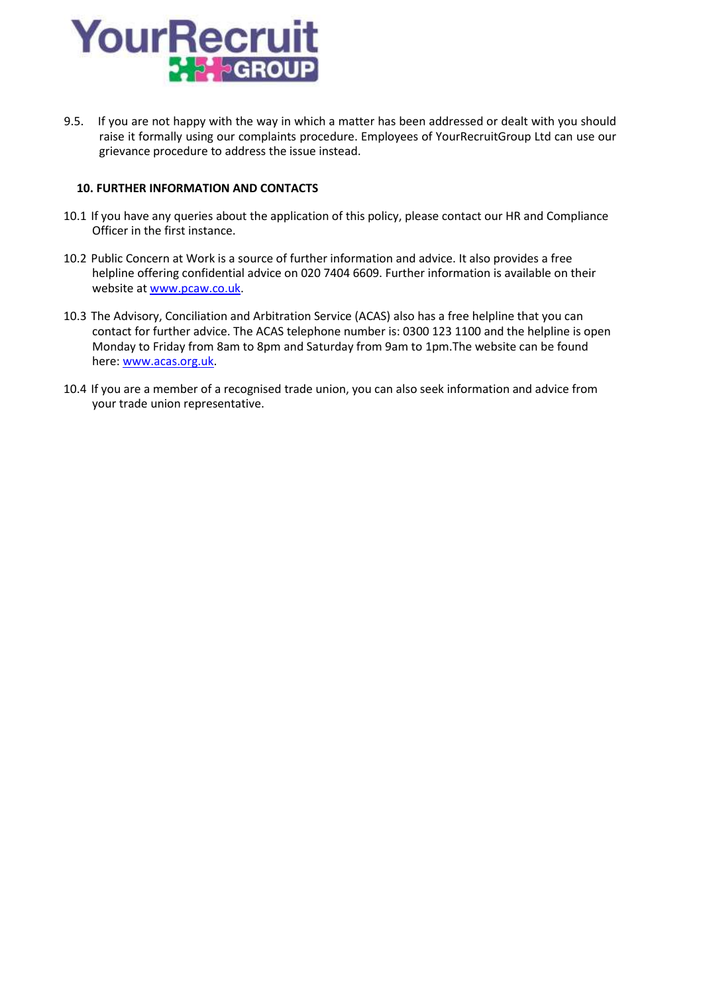

9.5. If you are not happy with the way in which a matter has been addressed or dealt with you should raise it formally using our complaints procedure. Employees of YourRecruitGroup Ltd can use our grievance procedure to address the issue instead.

## **10. FURTHER INFORMATION AND CONTACTS**

- 10.1 If you have any queries about the application of this policy, please contact our HR and Compliance Officer in the first instance.
- 10.2 Public Concern at Work is a source of further information and advice. It also provides a free helpline offering confidential advice on 020 7404 6609. Further information is available on their website at www.pcaw.co.uk.
- 10.3 The Advisory, Conciliation and Arbitration Service (ACAS) also has a free helpline that you can contact for further advice. The ACAS telephone number is: 0300 123 1100 and the helpline is open Monday to Friday from 8am to 8pm and Saturday from 9am to 1pm.The website can be found here: www.acas.org.uk.
- 10.4 If you are a member of a recognised trade union, you can also seek information and advice from your trade union representative.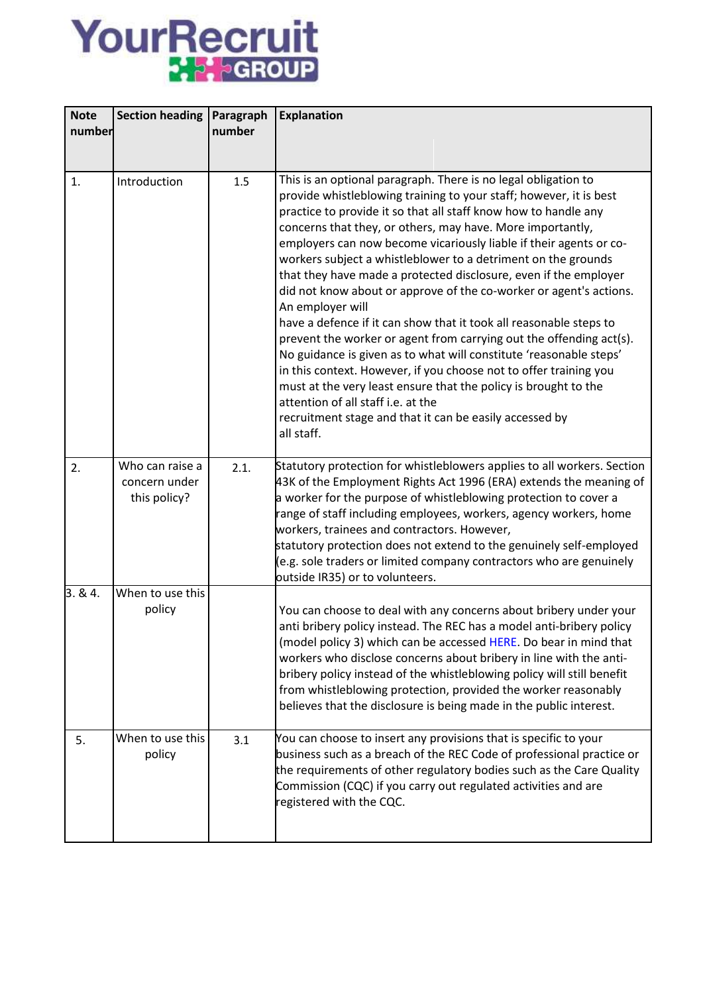# YourRecruit

| <b>Note</b><br>number | <b>Section heading</b>                           | Paragraph<br>number | <b>Explanation</b>                                                                                                                                                                                                                                                                                                                                                                                                                                                                                                                                                                                                                                                                                                                                                                                                                                                                                                                                                                                                                                   |
|-----------------------|--------------------------------------------------|---------------------|------------------------------------------------------------------------------------------------------------------------------------------------------------------------------------------------------------------------------------------------------------------------------------------------------------------------------------------------------------------------------------------------------------------------------------------------------------------------------------------------------------------------------------------------------------------------------------------------------------------------------------------------------------------------------------------------------------------------------------------------------------------------------------------------------------------------------------------------------------------------------------------------------------------------------------------------------------------------------------------------------------------------------------------------------|
|                       |                                                  |                     |                                                                                                                                                                                                                                                                                                                                                                                                                                                                                                                                                                                                                                                                                                                                                                                                                                                                                                                                                                                                                                                      |
| 1.                    | Introduction                                     | 1.5                 | This is an optional paragraph. There is no legal obligation to<br>provide whistleblowing training to your staff; however, it is best<br>practice to provide it so that all staff know how to handle any<br>concerns that they, or others, may have. More importantly,<br>employers can now become vicariously liable if their agents or co-<br>workers subject a whistleblower to a detriment on the grounds<br>that they have made a protected disclosure, even if the employer<br>did not know about or approve of the co-worker or agent's actions.<br>An employer will<br>have a defence if it can show that it took all reasonable steps to<br>prevent the worker or agent from carrying out the offending act(s).<br>No guidance is given as to what will constitute 'reasonable steps'<br>in this context. However, if you choose not to offer training you<br>must at the very least ensure that the policy is brought to the<br>attention of all staff i.e. at the<br>recruitment stage and that it can be easily accessed by<br>all staff. |
| 2.                    | Who can raise a<br>concern under<br>this policy? | 2.1.                | Statutory protection for whistleblowers applies to all workers. Section<br>43K of the Employment Rights Act 1996 (ERA) extends the meaning of<br>a worker for the purpose of whistleblowing protection to cover a<br>range of staff including employees, workers, agency workers, home<br>workers, trainees and contractors. However,<br>statutory protection does not extend to the genuinely self-employed<br>(e.g. sole traders or limited company contractors who are genuinely<br>outside IR35) or to volunteers.                                                                                                                                                                                                                                                                                                                                                                                                                                                                                                                               |
| 3.84.                 | When to use this<br>policy                       |                     | You can choose to deal with any concerns about bribery under your<br>anti bribery policy instead. The REC has a model anti-bribery policy<br>(model policy 3) which can be accessed HERE. Do bear in mind that<br>workers who disclose concerns about bribery in line with the anti-<br>bribery policy instead of the whistleblowing policy will still benefit<br>from whistleblowing protection, provided the worker reasonably<br>believes that the disclosure is being made in the public interest.                                                                                                                                                                                                                                                                                                                                                                                                                                                                                                                                               |
| 5.                    | When to use this<br>policy                       | 3.1                 | You can choose to insert any provisions that is specific to your<br>business such as a breach of the REC Code of professional practice or<br>the requirements of other regulatory bodies such as the Care Quality<br>Commission (CQC) if you carry out regulated activities and are<br>registered with the CQC.                                                                                                                                                                                                                                                                                                                                                                                                                                                                                                                                                                                                                                                                                                                                      |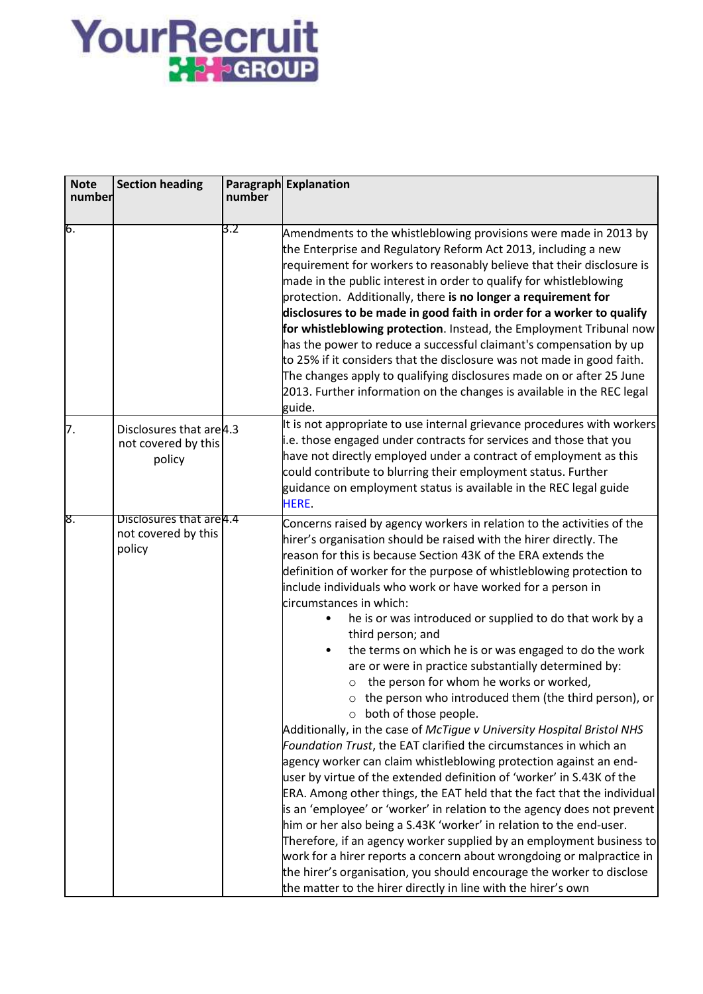# YourRecruit

| <b>Note</b><br>number | <b>Section heading</b>                                    | number | Paragraph Explanation                                                                                                                                                                                                                                                                                                                                                                                                                                                                                                                                                                                                                                                                                                                                                                                                                                                                                                                                                                                                                                                                                                                                                                                                                                                                                                                                                                                                                                                                                                                                       |
|-----------------------|-----------------------------------------------------------|--------|-------------------------------------------------------------------------------------------------------------------------------------------------------------------------------------------------------------------------------------------------------------------------------------------------------------------------------------------------------------------------------------------------------------------------------------------------------------------------------------------------------------------------------------------------------------------------------------------------------------------------------------------------------------------------------------------------------------------------------------------------------------------------------------------------------------------------------------------------------------------------------------------------------------------------------------------------------------------------------------------------------------------------------------------------------------------------------------------------------------------------------------------------------------------------------------------------------------------------------------------------------------------------------------------------------------------------------------------------------------------------------------------------------------------------------------------------------------------------------------------------------------------------------------------------------------|
| 6.                    |                                                           | 3.2    | Amendments to the whistleblowing provisions were made in 2013 by<br>the Enterprise and Regulatory Reform Act 2013, including a new<br>requirement for workers to reasonably believe that their disclosure is<br>made in the public interest in order to qualify for whistleblowing<br>protection. Additionally, there is no longer a requirement for<br>disclosures to be made in good faith in order for a worker to qualify<br>for whistleblowing protection. Instead, the Employment Tribunal now<br>has the power to reduce a successful claimant's compensation by up<br>to 25% if it considers that the disclosure was not made in good faith.<br>The changes apply to qualifying disclosures made on or after 25 June<br>2013. Further information on the changes is available in the REC legal<br>guide.                                                                                                                                                                                                                                                                                                                                                                                                                                                                                                                                                                                                                                                                                                                                            |
| 7.                    | Disclosures that are 4.3<br>not covered by this<br>policy |        | It is not appropriate to use internal grievance procedures with workers<br>.e. those engaged under contracts for services and those that you<br>have not directly employed under a contract of employment as this<br>could contribute to blurring their employment status. Further<br>guidance on employment status is available in the REC legal guide<br>HERE.                                                                                                                                                                                                                                                                                                                                                                                                                                                                                                                                                                                                                                                                                                                                                                                                                                                                                                                                                                                                                                                                                                                                                                                            |
| 8.                    | Disclosures that are 4.4<br>not covered by this<br>policy |        | Concerns raised by agency workers in relation to the activities of the<br>hirer's organisation should be raised with the hirer directly. The<br>reason for this is because Section 43K of the ERA extends the<br>definition of worker for the purpose of whistleblowing protection to<br>include individuals who work or have worked for a person in<br>circumstances in which:<br>he is or was introduced or supplied to do that work by a<br>$\bullet$<br>third person; and<br>the terms on which he is or was engaged to do the work<br>are or were in practice substantially determined by:<br>the person for whom he works or worked,<br>$\circ$ the person who introduced them (the third person), or<br>o both of those people.<br>Additionally, in the case of McTigue v University Hospital Bristol NHS<br>Foundation Trust, the EAT clarified the circumstances in which an<br>agency worker can claim whistleblowing protection against an end-<br>user by virtue of the extended definition of 'worker' in S.43K of the<br>ERA. Among other things, the EAT held that the fact that the individual<br>is an 'employee' or 'worker' in relation to the agency does not prevent<br>him or her also being a S.43K 'worker' in relation to the end-user.<br>Therefore, if an agency worker supplied by an employment business to<br>work for a hirer reports a concern about wrongdoing or malpractice in<br>the hirer's organisation, you should encourage the worker to disclose<br>the matter to the hirer directly in line with the hirer's own |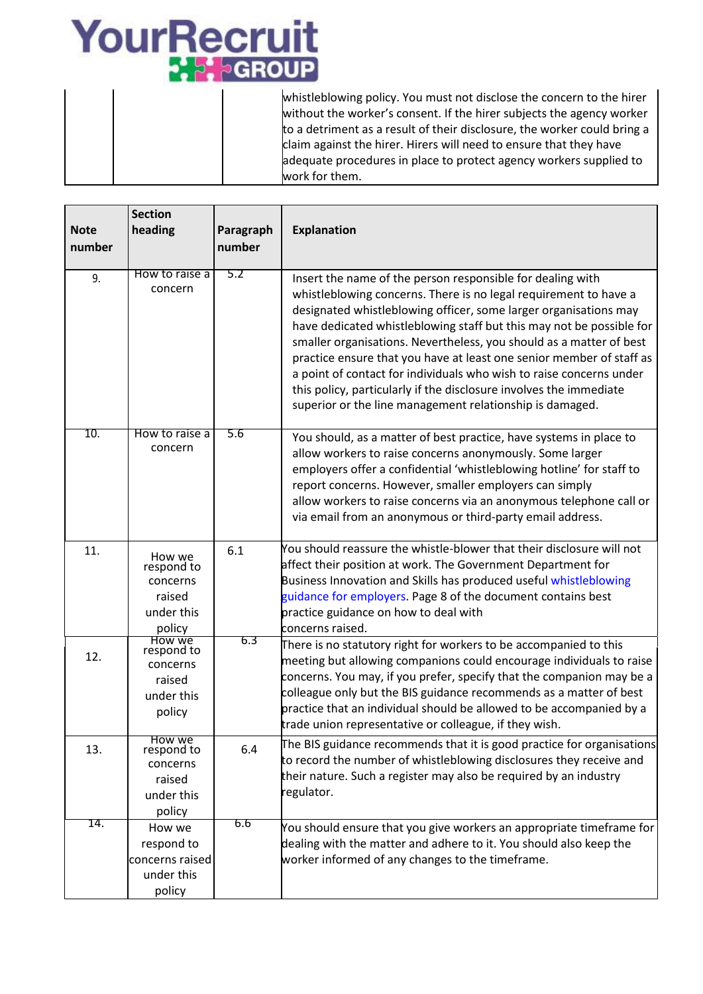# YourRecruit

whistleblowing policy. You must not disclose the concern to the hirer without the worker's consent. If the hirer subjects the agency worker to a detriment as a result of their disclosure, the worker could bring a claim against the hirer. Hirers will need to ensure that they have adequate procedures in place to protect agency workers supplied to work for them.

|             | <b>Section</b>                                                            |           |                                                                                                                                                                                                                                                                                                                                                                                                                                                                                                                                                                                                                                    |
|-------------|---------------------------------------------------------------------------|-----------|------------------------------------------------------------------------------------------------------------------------------------------------------------------------------------------------------------------------------------------------------------------------------------------------------------------------------------------------------------------------------------------------------------------------------------------------------------------------------------------------------------------------------------------------------------------------------------------------------------------------------------|
| <b>Note</b> | heading                                                                   | Paragraph | <b>Explanation</b>                                                                                                                                                                                                                                                                                                                                                                                                                                                                                                                                                                                                                 |
| number      |                                                                           | number    |                                                                                                                                                                                                                                                                                                                                                                                                                                                                                                                                                                                                                                    |
|             |                                                                           |           |                                                                                                                                                                                                                                                                                                                                                                                                                                                                                                                                                                                                                                    |
| 9.          | How to raise a<br>concern                                                 | 5.2       | Insert the name of the person responsible for dealing with<br>whistleblowing concerns. There is no legal requirement to have a<br>designated whistleblowing officer, some larger organisations may<br>have dedicated whistleblowing staff but this may not be possible for<br>smaller organisations. Nevertheless, you should as a matter of best<br>practice ensure that you have at least one senior member of staff as<br>a point of contact for individuals who wish to raise concerns under<br>this policy, particularly if the disclosure involves the immediate<br>superior or the line management relationship is damaged. |
| 10.         | How to raise a<br>concern                                                 | 5.6       | You should, as a matter of best practice, have systems in place to<br>allow workers to raise concerns anonymously. Some larger<br>employers offer a confidential 'whistleblowing hotline' for staff to<br>report concerns. However, smaller employers can simply<br>allow workers to raise concerns via an anonymous telephone call or<br>via email from an anonymous or third-party email address.                                                                                                                                                                                                                                |
| 11.         | How we<br>respond to<br>concerns<br>raised<br>under this<br>policy        | 6.1       | You should reassure the whistle-blower that their disclosure will not<br>affect their position at work. The Government Department for<br>Business Innovation and Skills has produced useful whistleblowing<br>guidance for employers. Page 8 of the document contains best<br>practice guidance on how to deal with<br>concerns raised.                                                                                                                                                                                                                                                                                            |
| 12.         | <b>How we</b><br>respond to<br>concerns<br>raised<br>under this<br>policy | 6.3       | There is no statutory right for workers to be accompanied to this<br>meeting but allowing companions could encourage individuals to raise<br>concerns. You may, if you prefer, specify that the companion may be a<br>colleague only but the BIS guidance recommends as a matter of best<br>practice that an individual should be allowed to be accompanied by a<br>trade union representative or colleague, if they wish.                                                                                                                                                                                                         |
| 13.         | How we<br>respond to<br>concerns<br>raised<br>under this<br>policy        | 6.4       | The BIS guidance recommends that it is good practice for organisations<br>to record the number of whistleblowing disclosures they receive and<br>their nature. Such a register may also be required by an industry<br>regulator.                                                                                                                                                                                                                                                                                                                                                                                                   |
| 14.         | How we<br>respond to<br>concerns raised<br>under this<br>policy           | 6.6       | You should ensure that you give workers an appropriate timeframe for<br>dealing with the matter and adhere to it. You should also keep the<br>worker informed of any changes to the timeframe.                                                                                                                                                                                                                                                                                                                                                                                                                                     |